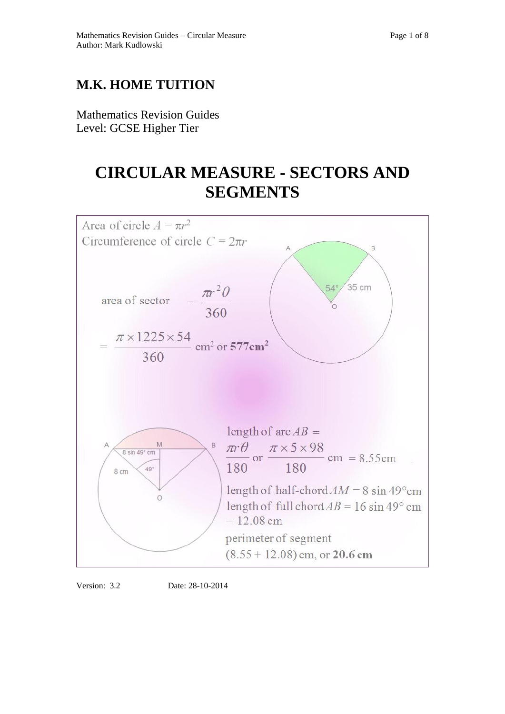## **M.K. HOME TUITION**

Mathematics Revision Guides Level: GCSE Higher Tier

# **CIRCULAR MEASURE - SECTORS AND SEGMENTS**





Version: 3.2 Date: 28-10-2014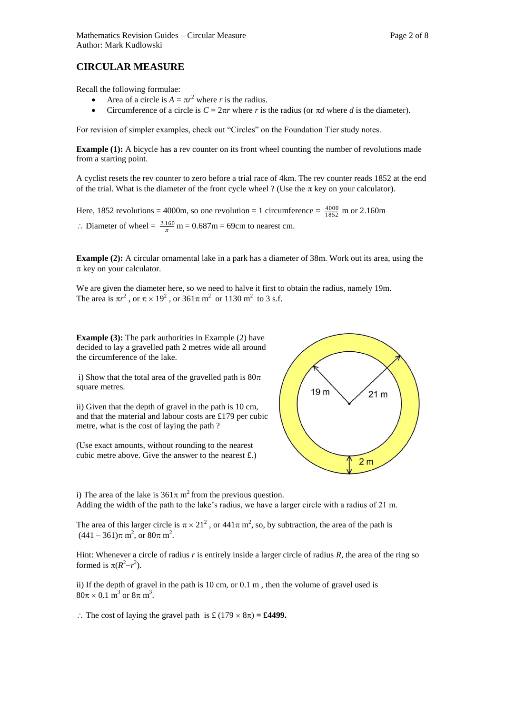### **CIRCULAR MEASURE**

Recall the following formulae:

- Area of a circle is  $A = \pi r^2$  where *r* is the radius.
- Circumference of a circle is  $C = 2\pi r$  where *r* is the radius (or  $\pi d$  where *d* is the diameter).

For revision of simpler examples, check out "Circles" on the Foundation Tier study notes.

**Example (1):** A bicycle has a rev counter on its front wheel counting the number of revolutions made from a starting point.

A cyclist resets the rev counter to zero before a trial race of 4km. The rev counter reads 1852 at the end of the trial. What is the diameter of the front cycle wheel ? (Use the  $\pi$  key on your calculator).

Here, 1852 revolutions = 4000m, so one revolution = 1 circumference =  $\frac{4000}{1852}$  m or 2.160m  $\therefore$  Diameter of wheel =  $\frac{2.160}{\pi}$  m = 0.687m = 69cm to nearest cm.

**Example (2):** A circular ornamental lake in a park has a diameter of 38m. Work out its area, using the  $\pi$  key on your calculator.

We are given the diameter here, so we need to halve it first to obtain the radius, namely 19m. The area is  $\pi r^2$ , or  $\pi \times 19^2$ , or  $361\pi$  m<sup>2</sup> or  $1130$  m<sup>2</sup> to 3 s.f.

**Example (3):** The park authorities in Example (2) have decided to lay a gravelled path 2 metres wide all around the circumference of the lake.

i) Show that the total area of the gravelled path is  $80\pi$ square metres.

ii) Given that the depth of gravel in the path is 10 cm, and that the material and labour costs are £179 per cubic metre, what is the cost of laying the path ?

(Use exact amounts, without rounding to the nearest cubic metre above. Give the answer to the nearest £.)



i) The area of the lake is  $361\pi$  m<sup>2</sup> from the previous question. Adding the width of the path to the lake's radius, we have a larger circle with a radius of 21 m.

The area of this larger circle is  $\pi \times 21^2$ , or  $441\pi$  m<sup>2</sup>, so, by subtraction, the area of the path is  $(441 - 361)\pi \text{ m}^2$ , or  $80\pi \text{ m}^2$ .

Hint: Whenever a circle of radius *r* is entirely inside a larger circle of radius *R*, the area of the ring so formed is  $\pi(R^2-r^2)$ .

ii) If the depth of gravel in the path is 10 cm, or 0.1 m , then the volume of gravel used is  $80\pi \times 0.1 \text{ m}^3 \text{ or } 8\pi \text{ m}^3$ .

 $\therefore$  The cost of laying the gravel path is £ (179  $\times$  8 $\pi$ ) = **£4499.**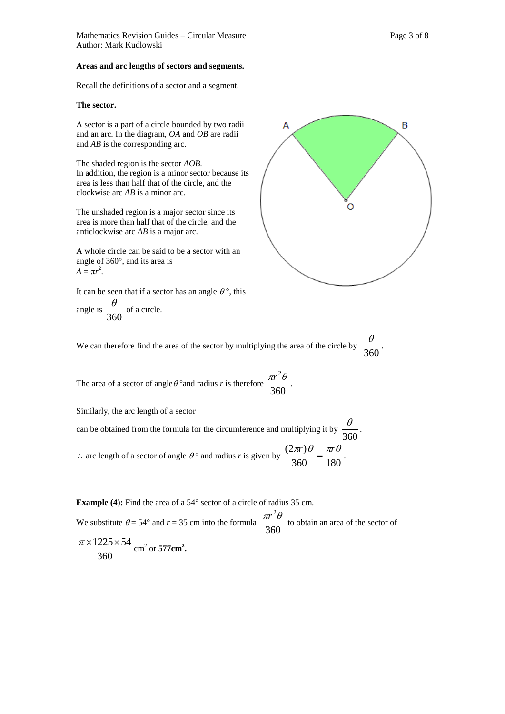Mathematics Revision Guides – Circular Measure Page 3 of 8 Author: Mark Kudlowski

#### **Areas and arc lengths of sectors and segments.**

Recall the definitions of a sector and a segment.

#### **The sector.**

A sector is a part of a circle bounded by two radii and an arc. In the diagram, *OA* and *OB* are radii and *AB* is the corresponding arc.

The shaded region is the sector *AOB.*  In addition, the region is a minor sector because its area is less than half that of the circle, and the clockwise arc *AB* is a minor arc.

The unshaded region is a major sector since its area is more than half that of the circle, and the anticlockwise arc *AB* is a major arc.

A whole circle can be said to be a sector with an angle of 360°, and its area is  $A = \pi r^2$ .

It can be seen that if a sector has an angle  $\theta^{\circ}$ , this

angle is 
$$
\frac{\theta}{360}
$$
 of a circle.



We can therefore find the area of the sector by multiplying the area of the circle by  $\frac{1}{360}$  $\frac{\theta}{\sqrt{2}}$ .

The area of a sector of angle  $\theta$ °and radius *r* is therefore  $\frac{12}{360}$  $\frac{\pi r^2 \theta}{r^2}$ .

Similarly, the arc length of a sector

can be obtained from the formula for the circumference and multiplying it by  $\frac{1}{360}$  $\frac{\theta}{\sqrt{2}}$ .  $\therefore$  arc length of a sector of angle  $\theta^{\circ}$  and radius *r* is given by  $\frac{\sqrt{27n^2/3}}{360} = \frac{\pi}{180}$  $\frac{(2\pi r)\theta}{2\pi r} = \frac{\pi r\theta}{100}.$ 

**Example (4):** Find the area of a 54° sector of a circle of radius 35 cm.

We substitute  $\theta = 54^{\circ}$  and  $r = 35$  cm into the formula  $\frac{42}{360}$  $\pi r^2 \theta$  to obtain an area of the sector of  $\pi$ ×1225×54 **.**

$$
\frac{\pi \times 1225 \times 54}{360}
$$
 cm<sup>2</sup> or 577cm<sup>2</sup>.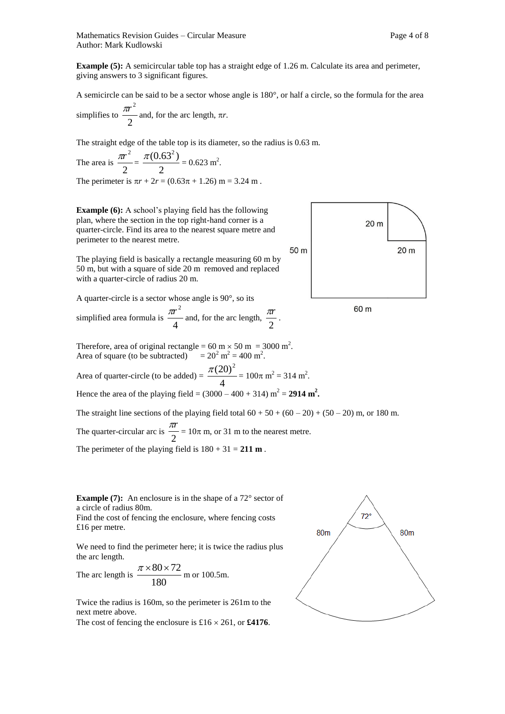Mathematics Revision Guides – Circular Measure Page 4 of 8 Author: Mark Kudlowski

**Example (5):** A semicircular table top has a straight edge of 1.26 m. Calculate its area and perimeter, giving answers to 3 significant figures.

A semicircle can be said to be a sector whose angle is 180°, or half a circle, so the formula for the area simplifies to  $\frac{\pi}{2}$  $\frac{\pi r^2}{r^2}$  and, for the arc length,  $\pi r$ .

The straight edge of the table top is its diameter, so the radius is 0.63 m.

The area is  $\frac{m}{2}$  $rac{\pi r^2}{2} = \frac{\pi (0.6)}{2}$  $rac{\pi (0.63^2)}{2} = 0.623$  m<sup>2</sup>. The perimeter is  $\pi r + 2r = (0.63\pi + 1.26)$  m = 3.24 m.

**Example (6):** A school's playing field has the following plan, where the section in the top right-hand corner is a quarter-circle. Find its area to the nearest square metre and perimeter to the nearest metre.

The playing field is basically a rectangle measuring 60 m by 50 m, but with a square of side 20 m removed and replaced with a quarter-circle of radius 20 m.

A quarter-circle is a sector whose angle is 90°, so its

simplified area formula is  $\frac{m}{4}$  $\frac{\pi r^2}{r}$  and, for the arc length, 2  $\frac{\pi r}{r}$ .

Therefore, area of original rectangle =  $60 \text{ m} \times 50 \text{ m} = 3000 \text{ m}^2$ . Area of square (to be subtracted)  $= 20^2 \text{ m}^2 = 400 \text{ m}^2$ .

Area of quarter-circle (to be added) =  $\frac{4}{4}$  $\frac{\pi (20)^2}{4}$  = 100 $\pi$  m<sup>2</sup> = 314 m<sup>2</sup>. Hence the area of the playing field =  $(3000 - 400 + 314)$  m<sup>2</sup> = 2914 m<sup>2</sup>.

The straight line sections of the playing field total  $60 + 50 + (60 - 20) + (50 - 20)$  m, or 180 m.

The quarter-circular arc is  $\frac{12}{2}$  $\frac{\pi r}{r}$  = 10 $\pi$  m, or 31 m to the nearest metre.

The perimeter of the playing field is  $180 + 31 = 211 \text{ m}$ .

**Example (7):** An enclosure is in the shape of a 72° sector of a circle of radius 80m.

Find the cost of fencing the enclosure, where fencing costs £16 per metre.

We need to find the perimeter here; it is twice the radius plus the arc length.

The arc length is 
$$
\frac{\pi \times 80 \times 72}{180}
$$
 m or 100.5m.

Twice the radius is 160m, so the perimeter is 261m to the next metre above.

The cost of fencing the enclosure is  $£16 \times 261$ , or £4176.



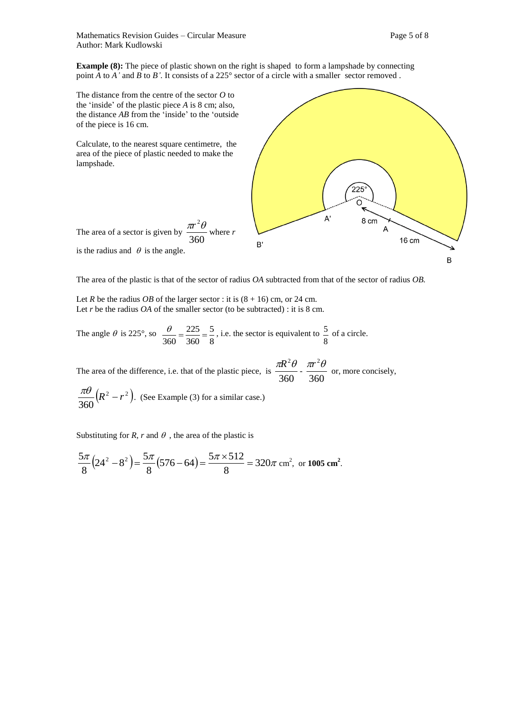Mathematics Revision Guides – Circular Measure Page 5 of 8 Author: Mark Kudlowski

**Example (8):** The piece of plastic shown on the right is shaped to form a lampshade by connecting point *A* to *A'* and *B* to *B'*. It consists of a 225° sector of a circle with a smaller sector removed.

The distance from the centre of the sector *O* to the 'inside' of the plastic piece *A* is 8 cm; also, the distance *AB* from the 'inside' to the 'outside of the piece is 16 cm.

Calculate, to the nearest square centimetre, the area of the piece of plastic needed to make the lampshade.

The area of a sector is given by

is the radius and  $\theta$  is the angle.



The area of the plastic is that of the sector of radius *OA* subtracted from that of the sector of radius *OB.* 

Let *R* be the radius *OB* of the larger sector : it is  $(8 + 16)$  cm, or 24 cm. Let *r* be the radius *OA* of the smaller sector (to be subtracted) : it is 8 cm.

360

The angle  $\theta$  is 225°, so 8 5 360 225 360  $\frac{\theta}{\theta} = \frac{225}{24.5} = \frac{5}{8}$ , i.e. the sector is equivalent to 8  $\frac{5}{2}$  of a circle.

The area of the difference, i.e. that of the plastic piece, is  $\frac{248}{360}$  $\frac{\pi R^2 \theta}{360}$  -  $\frac{\pi r^2 \theta}{360}$  $\frac{\pi r^2 \theta}{2}$  or, more concisely,

$$
\frac{\pi \theta}{360} (R^2 - r^2)
$$
. (See Example (3) for a similar case.)

Substituting for *R*, *r* and  $\theta$ , the area of the plastic is

$$
\frac{5\pi}{8}(24^2 - 8^2) = \frac{5\pi}{8}(576 - 64) = \frac{5\pi \times 512}{8} = 320\pi \text{ cm}^2, \text{ or } 1005 \text{ cm}^2.
$$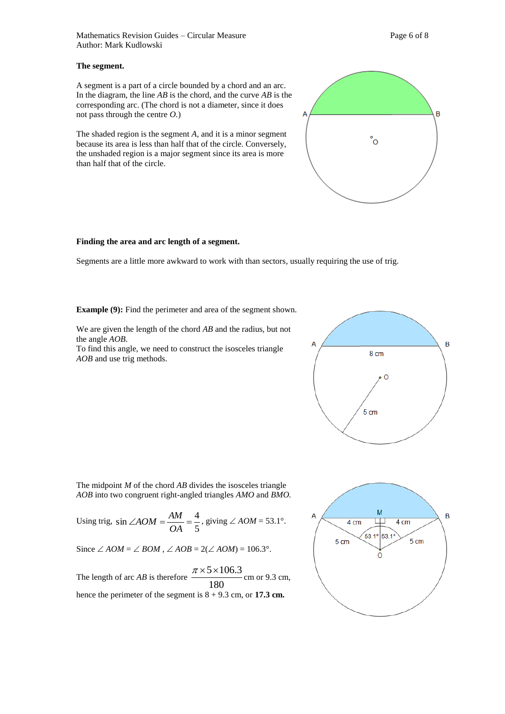Mathematics Revision Guides – Circular Measure Page 6 of 8 Author: Mark Kudlowski

#### **The segment.**

A segment is a part of a circle bounded by a chord and an arc. In the diagram, the line *AB* is the chord, and the curve *AB* is the corresponding arc. (The chord is not a diameter, since it does not pass through the centre *O.*)

The shaded region is the segment *A,* and it is a minor segment because its area is less than half that of the circle. Conversely, the unshaded region is a major segment since its area is more than half that of the circle.

#### **Finding the area and arc length of a segment.**

Segments are a little more awkward to work with than sectors, usually requiring the use of trig.

**Example (9):** Find the perimeter and area of the segment shown.

We are given the length of the chord *AB* and the radius, but not the angle *AOB*.

To find this angle, we need to construct the isosceles triangle *AOB* and use trig methods.



The midpoint *M* of the chord *AB* divides the isosceles triangle *AOB* into two congruent right-angled triangles *AMO* and *BMO.*

Using trig, 5  $\sin \angle AOM = \frac{AM}{\cos \theta} = \frac{4}{7}$ *OA*  $AOM = \frac{AM}{\sim A} = \frac{4}{7}$ , giving  $\angle AOM = 53.1^{\circ}$ .

Since  $\angle AOM = \angle BOM$ ,  $\angle AOB = 2(\angle AOM) = 106.3^{\circ}$ .

The length of arc  $AB$  is therefore  $\frac{180}{180}$  $\frac{\pi \times 5 \times 106.3}{\pi \times 5 \times 106.3}$  cm or 9.3 cm, hence the perimeter of the segment is  $8 + 9.3$  cm, or **17.3 cm.** 



°o



B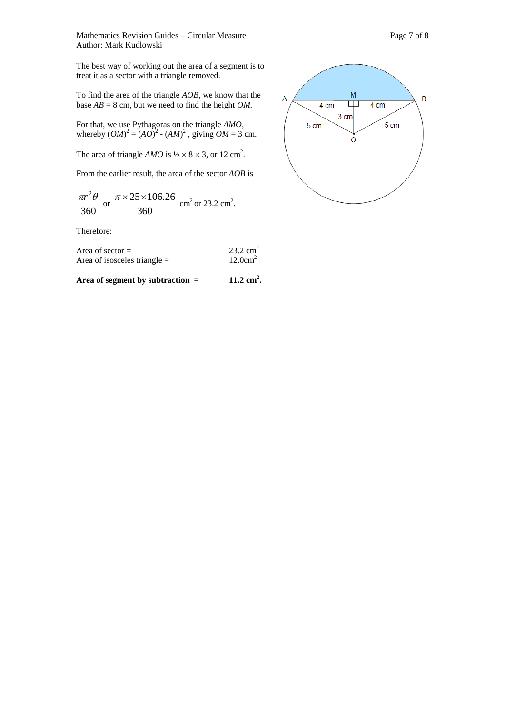Mathematics Revision Guides – Circular Measure Page 7 of 8 Author: Mark Kudlowski

The best way of working out the area of a segment is to treat it as a sector with a triangle removed.

To find the area of the triangle *AOB*, we know that the base  $AB = 8$  cm, but we need to find the height *OM*.

For that, we use Pythagoras on the triangle *AMO*, whereby  $(OM)^2 = (AO)^2 - (AM)^2$ , giving  $OM = 3$  cm.

The area of triangle *AMO* is  $\frac{1}{2} \times 8 \times 3$ , or 12 cm<sup>2</sup>.

From the earlier result, the area of the sector *AOB* is

$$
\frac{\pi r^2 \theta}{360}
$$
 or  $\frac{\pi \times 25 \times 106.26}{360}$  cm<sup>2</sup> or 23.2 cm<sup>2</sup>.

Therefore:

| Area of sector $=$             | $23.2 \text{ cm}^2$ |
|--------------------------------|---------------------|
| Area of isosceles triangle $=$ | $12.0 \text{cm}^2$  |

Area of segment by subtraction = 11.2 cm<sup>2</sup>.